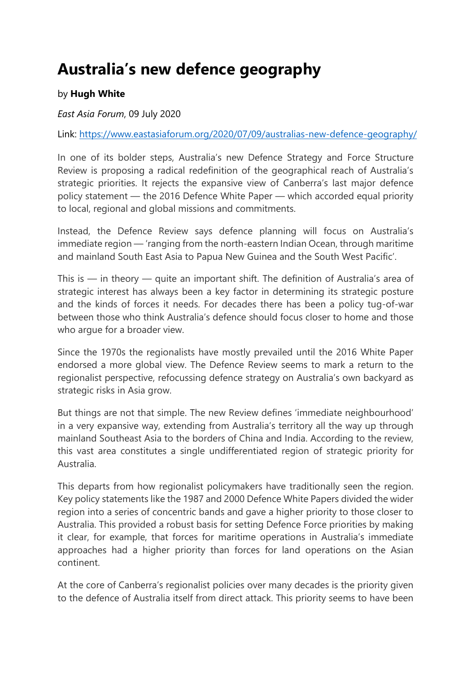## **Australia's new defence geography**

## by **Hugh White**

## *East Asia Forum*, 09 July 2020

Link:<https://www.eastasiaforum.org/2020/07/09/australias-new-defence-geography/>

In one of its bolder steps, Australia's new Defence Strategy and Force Structure Review is proposing a radical redefinition of the geographical reach of Australia's strategic priorities. It rejects the expansive view of Canberra's last major defence policy statement — the 2016 Defence White Paper — which accorded equal priority to local, regional and global missions and commitments.

Instead, the Defence Review says defence planning will focus on Australia's immediate region — 'ranging from the north-eastern Indian Ocean, through maritime and mainland South East Asia to Papua New Guinea and the South West Pacific'.

This is — in theory — quite an important shift. The definition of Australia's area of strategic interest has always been a key factor in determining its strategic posture and the kinds of forces it needs. For decades there has been a policy tug-of-war between those who think Australia's defence should focus closer to home and those who argue for a broader view.

Since the 1970s the regionalists have mostly prevailed until the 2016 White Paper endorsed a more global view. The Defence Review seems to mark a return to the regionalist perspective, refocussing defence strategy on Australia's own backyard as strategic risks in Asia grow.

But things are not that simple. The new Review defines 'immediate neighbourhood' in a very expansive way, extending from Australia's territory all the way up through mainland Southeast Asia to the borders of China and India. According to the review, this vast area constitutes a single undifferentiated region of strategic priority for Australia.

This departs from how regionalist policymakers have traditionally seen the region. Key policy statements like the 1987 and 2000 Defence White Papers divided the wider region into a series of concentric bands and gave a higher priority to those closer to Australia. This provided a robust basis for setting Defence Force priorities by making it clear, for example, that forces for maritime operations in Australia's immediate approaches had a higher priority than forces for land operations on the Asian continent.

At the core of Canberra's regionalist policies over many decades is the priority given to the defence of Australia itself from direct attack. This priority seems to have been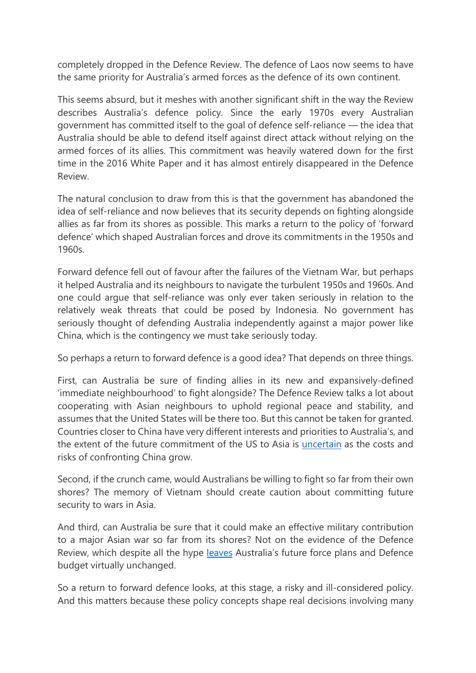completely dropped in the Defence Review. The defence of Laos now seems to have the same priority for Australia's armed forces as the defence of its own continent.

This seems absurd, but it meshes with another significant shift in the way the Review describes Australia's defence policy. Since the early 1970s every Australian government has committed itself to the goal of defence self-reliance — the idea that Australia should be able to defend itself against direct attack without relying on the armed forces of its allies. This commitment was heavily watered down for the first time in the 2016 White Paper and it has almost entirely disappeared in the Defence Review.

The natural conclusion to draw from this is that the government has abandoned the idea of self-reliance and now believes that its security depends on fighting alongside allies as far from its shores as possible. This marks a return to the policy of 'forward defence' which shaped Australian forces and drove its commitments in the 1950s and 1960s.

Forward defence fell out of favour after the failures of the Vietnam War, but perhaps it helped Australia and its neighbours to navigate the turbulent 1950s and 1960s. And one could argue that self-reliance was only ever taken seriously in relation to the relatively weak threats that could be posed by Indonesia. No government has seriously thought of defending Australia independently against a major power like China, which is the contingency we must take seriously today.

So perhaps a return to forward defence is a good idea? That depends on three things.

First, can Australia be sure of finding allies in its new and expansively-defined 'immediate neighbourhood' to fight alongside? The Defence Review talks a lot about cooperating with Asian neighbours to uphold regional peace and stability, and assumes that the United States will be there too. But this cannot be taken for granted. Countries closer to China have very different interests and priorities to Australia's, and the extent of the future commitment of the US to Asia is [uncertain](https://www.eastasiaforum.org/2020/04/01/the-us-china-and-asia-after-the-pandemic-more-not-less-tension/) as the costs and risks of confronting China grow.

Second, if the crunch came, would Australians be willing to fight so far from their own shores? The memory of Vietnam should create caution about committing future security to wars in Asia.

And third, can Australia be sure that it could make an effective military contribution to a major Asian war so far from its shores? Not on the evidence of the Defence Review, which despite all the hype [leaves](https://www.eastasiaforum.org/2019/08/13/how-to-defend-australia/) Australia's future force plans and Defence budget virtually unchanged.

So a return to forward defence looks, at this stage, a risky and ill-considered policy. And this matters because these policy concepts shape real decisions involving many